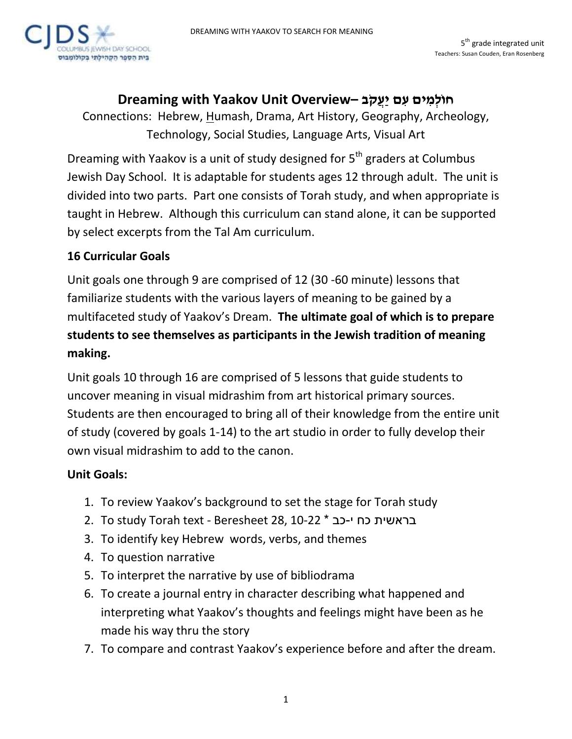

## **חו ֹל ֹמ ֹיםֹע ֹםֹי ֹע ֹק ֹב –Overview Unit Yaakov with Dreaming**

Connections: Hebrew, Humash, Drama, Art History, Geography, Archeology, Technology, Social Studies, Language Arts, Visual Art

Dreaming with Yaakov is a unit of study designed for 5<sup>th</sup> graders at Columbus Jewish Day School. It is adaptable for students ages 12 through adult. The unit is divided into two parts. Part one consists of Torah study, and when appropriate is taught in Hebrew. Although this curriculum can stand alone, it can be supported by select excerpts from the Tal Am curriculum.

## **16 Curricular Goals**

Unit goals one through 9 are comprised of 12 (30 -60 minute) lessons that familiarize students with the various layers of meaning to be gained by a multifaceted study of Yaakov's Dream. **The ultimate goal of which is to prepare students to see themselves as participants in the Jewish tradition of meaning making.**

Unit goals 10 through 16 are comprised of 5 lessons that guide students to uncover meaning in visual midrashim from art historical primary sources. Students are then encouraged to bring all of their knowledge from the entire unit of study (covered by goals 1-14) to the art studio in order to fully develop their own visual midrashim to add to the canon.

## **Unit Goals:**

- 1. To review Yaakov's background to set the stage for Torah study
- 2. To study Torah text Beresheet 28, 10-22 \* כב-י כח בראשית
- 3. To identify key Hebrew words, verbs, and themes
- 4. To question narrative
- 5. To interpret the narrative by use of bibliodrama
- 6. To create a journal entry in character describing what happened and interpreting what Yaakov's thoughts and feelings might have been as he made his way thru the story
- 7. To compare and contrast Yaakov's experience before and after the dream.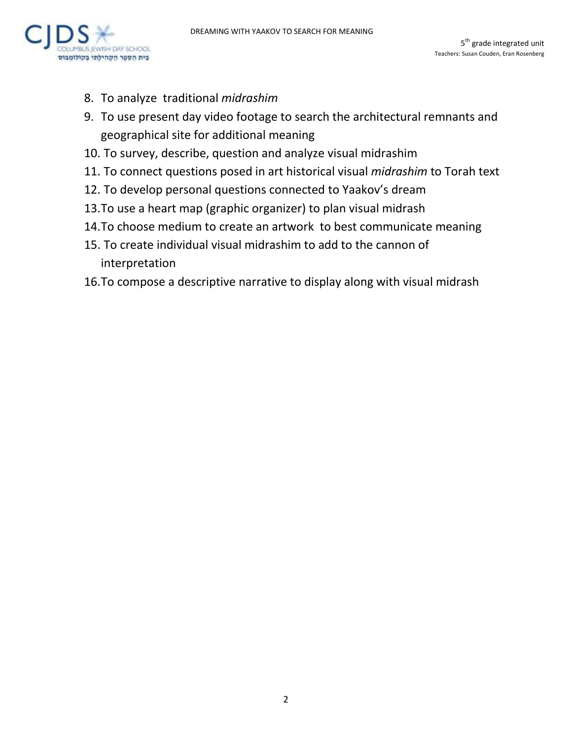

- 8. To analyze traditional *midrashim*
- 9. To use present day video footage to search the architectural remnants and geographical site for additional meaning
- 10. To survey, describe, question and analyze visual midrashim
- 11. To connect questions posed in art historical visual *midrashim* to Torah text
- 12. To develop personal questions connected to Yaakov's dream
- 13.To use a heart map (graphic organizer) to plan visual midrash
- 14.To choose medium to create an artwork to best communicate meaning
- 15. To create individual visual midrashim to add to the cannon of interpretation
- 16.To compose a descriptive narrative to display along with visual midrash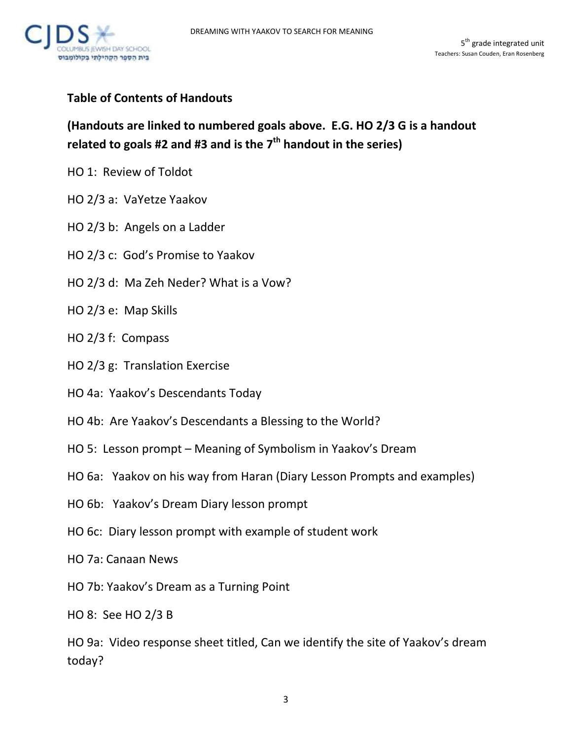

## **Table of Contents of Handouts**

**(Handouts are linked to numbered goals above. E.G. HO 2/3 G is a handout related to goals #2 and #3 and is the 7th handout in the series)**

- HO 1: Review of Toldot
- HO 2/3 a: VaYetze Yaakov
- HO 2/3 b: Angels on a Ladder
- HO 2/3 c: God's Promise to Yaakov
- HO 2/3 d: Ma Zeh Neder? What is a Vow?
- HO 2/3 e: Map Skills
- HO 2/3 f: Compass
- HO 2/3 g: Translation Exercise
- HO 4a: Yaakov's Descendants Today
- HO 4b: Are Yaakov's Descendants a Blessing to the World?
- HO 5: Lesson prompt Meaning of Symbolism in Yaakov's Dream
- HO 6a: Yaakov on his way from Haran (Diary Lesson Prompts and examples)
- HO 6b: Yaakov's Dream Diary lesson prompt
- HO 6c: Diary lesson prompt with example of student work
- HO 7a: Canaan News
- HO 7b: Yaakov's Dream as a Turning Point

HO 8: See HO 2/3 B

HO 9a: Video response sheet titled, Can we identify the site of Yaakov's dream today?